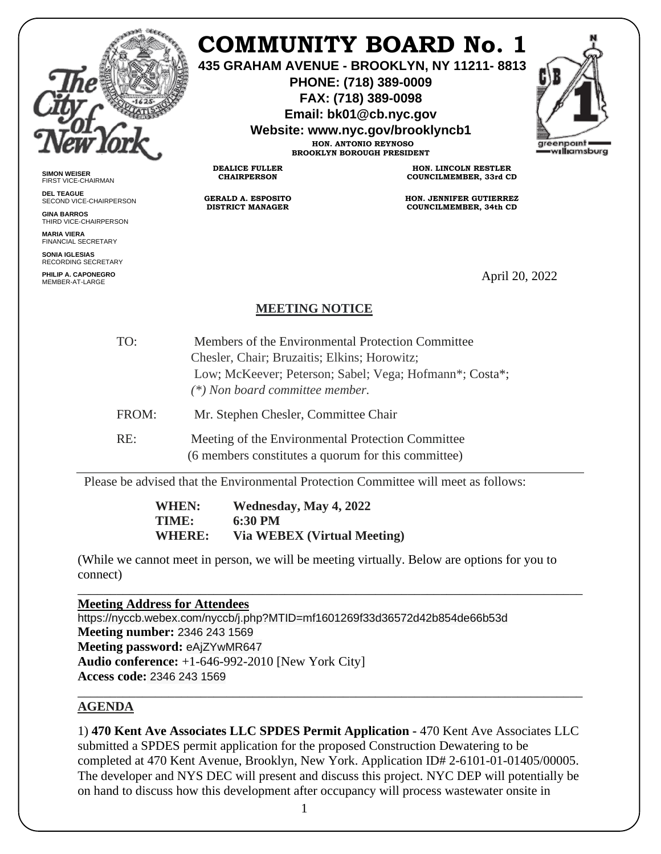

# **COMMUNITY BOARD No. 1**

**435 GRAHAM AVENUE - BROOKLYN, NY 11211- 8813**

**PHONE: (718) 389-0009 FAX: (718) 389-0098**

**Email: bk01@cb.nyc.gov**

**Website: www.nyc.gov/brooklyncb1**

**HON. ANTONIO REYNOSO BROOKLYN BOROUGH PRESIDENT**



**SIMON WEISER** FIRST VICE-CHAIRMAN

**DEL TEAGUE** SECOND VICE-CHAIRPERSON

**GINA BARROS** THIRD VICE-CHAIRPERSON

**MARIA VIERA** FINANCIAL SECRETARY

**SONIA IGLESIAS** RECORDING SECRETARY

**PHILIP A. CAPONEGRO** PHILIP A. CAPONEGRO<br>MEMBER-AT-LARGE APPORTUNISMENT OF THE SERVICE OF THE SERVICE OF THE SERVICE OF THE SERVICE OF THE SERVICE OF T

**HON. LINCOLN RESTLER COUNCILMEMBER, 33rd CD**

**HON. JENNIFER GUTIERREZ COUNCILMEMBER, 34th CD**

# **MEETING NOTICE**

**DEALICE FULLER CHAIRPERSON**

**GERALD A. ESPOSITO DISTRICT MANAGER**

| TO:   | Members of the Environmental Protection Committee       |
|-------|---------------------------------------------------------|
|       | Chesler, Chair; Bruzaitis; Elkins; Horowitz;            |
|       | Low; McKeever; Peterson; Sabel; Vega; Hofmann*; Costa*; |
|       | (*) Non board committee member.                         |
| FROM: | Mr. Stephen Chesler, Committee Chair                    |
| RE:   | Meeting of the Environmental Protection Committee       |
|       | (6 members constitutes a quorum for this committee)     |

Please be advised that the Environmental Protection Committee will meet as follows:

**WHEN: Wednesday, May 4, 2022 TIME: 6:30 PM WHERE: Via WEBEX (Virtual Meeting)** 

(While we cannot meet in person, we will be meeting virtually. Below are options for you to connect)

\_\_\_\_\_\_\_\_\_\_\_\_\_\_\_\_\_\_\_\_\_\_\_\_\_\_\_\_\_\_\_\_\_\_\_\_\_\_\_\_\_\_\_\_\_\_\_\_\_\_\_\_\_\_\_\_\_\_\_\_\_\_\_\_\_\_\_\_\_\_\_\_\_\_\_\_\_\_

**Meeting Address for Attendees** 

https://nyccb.webex.com/nyccb/j.php?MTID=mf1601269f33d36572d42b854de66b53d **Meeting number:** 2346 243 1569 **Meeting password:** eAjZYwMR647 **Audio conference:** +1-646-992-2010 [New York City] **Access code:** 2346 243 1569

#### **AGENDA**

1) **470 Kent Ave Associates LLC SPDES Permit Application -** 470 Kent Ave Associates LLC submitted a SPDES permit application for the proposed Construction Dewatering to be completed at 470 Kent Avenue, Brooklyn, New York. Application ID# 2-6101-01-01405/00005. The developer and NYS DEC will present and discuss this project. NYC DEP will potentially be on hand to discuss how this development after occupancy will process wastewater onsite in

\_\_\_\_\_\_\_\_\_\_\_\_\_\_\_\_\_\_\_\_\_\_\_\_\_\_\_\_\_\_\_\_\_\_\_\_\_\_\_\_\_\_\_\_\_\_\_\_\_\_\_\_\_\_\_\_\_\_\_\_\_\_\_\_\_\_\_\_\_\_\_\_\_\_\_\_\_\_